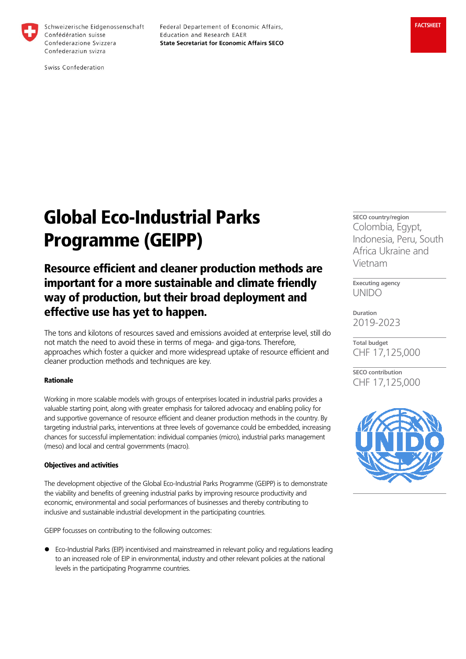

Schweizerische Eidgenossenschaft Confédération suisse Confederazione Svizzera Confederaziun svizra

Federal Departement of Economic Affairs, Education and Research EAER **State Secretariat for Economic Affairs SECO** 

Swiss Confederation

# Global Eco-Industrial Parks Programme (GEIPP)

## Resource efficient and cleaner production methods are important for a more sustainable and climate friendly way of production, but their broad deployment and effective use has yet to happen.

The tons and kilotons of resources saved and emissions avoided at enterprise level, still do not match the need to avoid these in terms of mega- and giga-tons. Therefore, approaches which foster a quicker and more widespread uptake of resource efficient and cleaner production methods and techniques are key.

### Rationale

Working in more scalable models with groups of enterprises located in industrial parks provides a valuable starting point, along with greater emphasis for tailored advocacy and enabling policy for and supportive governance of resource efficient and cleaner production methods in the country. By targeting industrial parks, interventions at three levels of governance could be embedded, increasing chances for successful implementation: individual companies (micro), industrial parks management (meso) and local and central governments (macro).

#### Objectives and activities

The development objective of the Global Eco-Industrial Parks Programme (GEIPP) is to demonstrate the viability and benefits of greening industrial parks by improving resource productivity and economic, environmental and social performances of businesses and thereby contributing to inclusive and sustainable industrial development in the participating countries.

GEIPP focusses on contributing to the following outcomes:

 Eco-Industrial Parks (EIP) incentivised and mainstreamed in relevant policy and regulations leading to an increased role of EIP in environmental, industry and other relevant policies at the national levels in the participating Programme countries.

**SECO country/region** Colombia, Egypt, Indonesia, Peru, South Africa Ukraine and Vietnam

**Executing agency** UNIDO

**Duration** 2019-2023

**Total budget** CHF 17,125,000

**SECO contribution** CHF 17,125,000